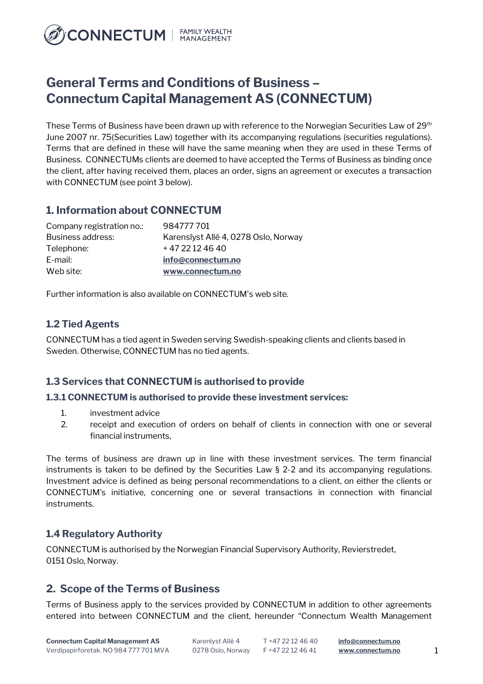

# **General Terms and Conditions of Business – Connectum Capital Management AS (CONNECTUM)**

These Terms of Business have been drawn up with reference to the Norwegian Securities Law of 29<sup>th</sup> June 2007 nr. 75(Securities Law) together with its accompanying regulations (securities regulations). Terms that are defined in these will have the same meaning when they are used in these Terms of Business. CONNECTUMs clients are deemed to have accepted the Terms of Business as binding once the client, after having received them, places an order, signs an agreement or executes a transaction with CONNECTUM (see point 3 below).

## **1. Information about CONNECTUM**

| Company registration no.: | 984777701                            |
|---------------------------|--------------------------------------|
| Business address:         | Karenslyst Allé 4, 0278 Oslo, Norway |
| Telephone:                | +4722124640                          |
| E-mail:                   | info@connectum.no                    |
| Web site:                 | www.connectum.no                     |

Further information is also available on CONNECTUM's web site.

#### **1.2 Tied Agents**

CONNECTUM has a tied agent in Sweden serving Swedish-speaking clients and clients based in Sweden. Otherwise, CONNECTUM has no tied agents.

#### **1.3 Services that CONNECTUM is authorised to provide**

#### **1.3.1 CONNECTUM is authorised to provide these investment services:**

- 1. investment advice
- 2. receipt and execution of orders on behalf of clients in connection with one or several financial instruments,

The terms of business are drawn up in line with these investment services. The term financial instruments is taken to be defined by the Securities Law § 2-2 and its accompanying regulations. Investment advice is defined as being personal recommendations to a client, on either the clients or CONNECTUM's initiative, concerning one or several transactions in connection with financial instruments.

#### **1.4 Regulatory Authority**

CONNECTUM is authorised by the Norwegian Financial Supervisory Authority, Revierstredet, 0151 Oslo, Norway.

### **2. Scope of the Terms of Business**

Terms of Business apply to the services provided by CONNECTUM in addition to other agreements entered into between CONNECTUM and the client, hereunder "Connectum Wealth Management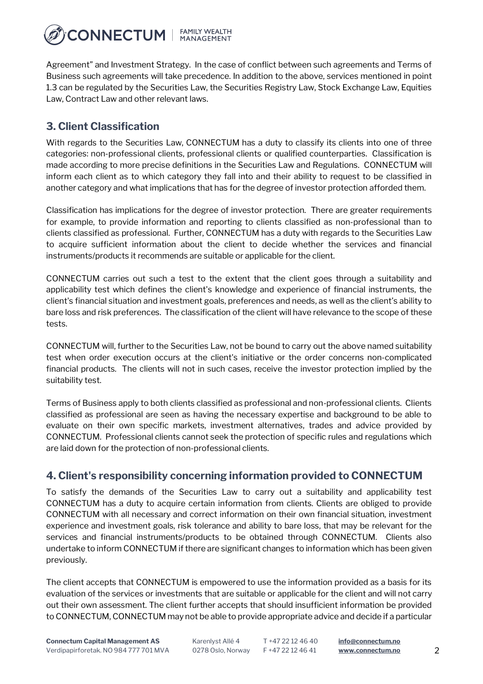

Agreement" and Investment Strategy. In the case of conflict between such agreements and Terms of Business such agreements will take precedence. In addition to the above, services mentioned in point 1.3 can be regulated by the Securities Law, the Securities Registry Law, Stock Exchange Law, Equities Law, Contract Law and other relevant laws.

# **3. Client Classification**

With regards to the Securities Law, CONNECTUM has a duty to classify its clients into one of three categories: non-professional clients, professional clients or qualified counterparties. Classification is made according to more precise definitions in the Securities Law and Regulations. CONNECTUM will inform each client as to which category they fall into and their ability to request to be classified in another category and what implications that has for the degree of investor protection afforded them.

Classification has implications for the degree of investor protection. There are greater requirements for example, to provide information and reporting to clients classified as non-professional than to clients classified as professional. Further, CONNECTUM has a duty with regards to the Securities Law to acquire sufficient information about the client to decide whether the services and financial instruments/products it recommends are suitable or applicable for the client.

CONNECTUM carries out such a test to the extent that the client goes through a suitability and applicability test which defines the client's knowledge and experience of financial instruments, the client's financial situation and investment goals, preferences and needs, as well as the client's ability to bare loss and risk preferences. The classification of the client will have relevance to the scope of these tests.

CONNECTUM will, further to the Securities Law, not be bound to carry out the above named suitability test when order execution occurs at the client's initiative or the order concerns non-complicated financial products. The clients will not in such cases, receive the investor protection implied by the suitability test.

Terms of Business apply to both clients classified as professional and non-professional clients. Clients classified as professional are seen as having the necessary expertise and background to be able to evaluate on their own specific markets, investment alternatives, trades and advice provided by CONNECTUM. Professional clients cannot seek the protection of specific rules and regulations which are laid down for the protection of non-professional clients.

### **4. Client's responsibility concerning information provided to CONNECTUM**

To satisfy the demands of the Securities Law to carry out a suitability and applicability test CONNECTUM has a duty to acquire certain information from clients. Clients are obliged to provide CONNECTUM with all necessary and correct information on their own financial situation, investment experience and investment goals, risk tolerance and ability to bare loss, that may be relevant for the services and financial instruments/products to be obtained through CONNECTUM. Clients also undertake to inform CONNECTUM if there are significant changes to information which has been given previously.

The client accepts that CONNECTUM is empowered to use the information provided as a basis for its evaluation of the services or investments that are suitable or applicable for the client and will not carry out their own assessment. The client further accepts that should insufficient information be provided to CONNECTUM, CONNECTUM may not be able to provide appropriate advice and decide if a particular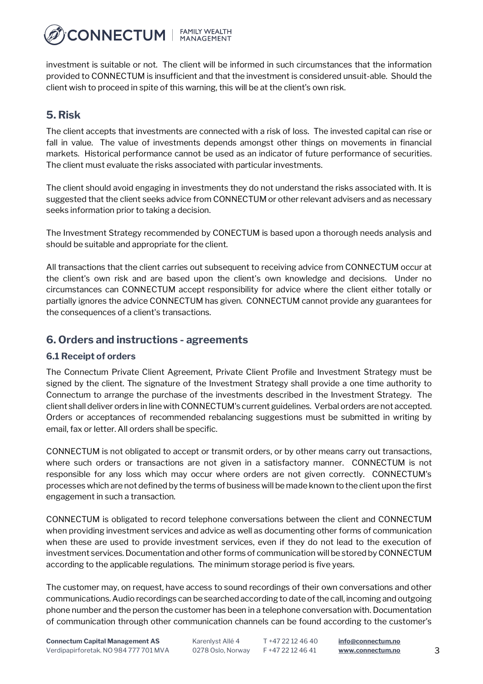**CONNECTUM** | FAMILY WEALTH

investment is suitable or not. The client will be informed in such circumstances that the information provided to CONNECTUM is insufficient and that the investment is considered unsuit-able. Should the client wish to proceed in spite of this warning, this will be at the client's own risk.

## **5. Risk**

The client accepts that investments are connected with a risk of loss. The invested capital can rise or fall in value. The value of investments depends amongst other things on movements in financial markets. Historical performance cannot be used as an indicator of future performance of securities. The client must evaluate the risks associated with particular investments.

The client should avoid engaging in investments they do not understand the risks associated with. It is suggested that the client seeks advice from CONNECTUM or other relevant advisers and as necessary seeks information prior to taking a decision.

The Investment Strategy recommended by CONECTUM is based upon a thorough needs analysis and should be suitable and appropriate for the client.

All transactions that the client carries out subsequent to receiving advice from CONNECTUM occur at the client's own risk and are based upon the client's own knowledge and decisions. Under no circumstances can CONNECTUM accept responsibility for advice where the client either totally or partially ignores the advice CONNECTUM has given. CONNECTUM cannot provide any guarantees for the consequences of a client's transactions.

### **6. Orders and instructions - agreements**

#### **6.1 Receipt of orders**

The Connectum Private Client Agreement, Private Client Profile and Investment Strategy must be signed by the client. The signature of the Investment Strategy shall provide a one time authority to Connectum to arrange the purchase of the investments described in the Investment Strategy. The client shall deliver orders in line with CONNECTUM's current guidelines. Verbal orders are not accepted. Orders or acceptances of recommended rebalancing suggestions must be submitted in writing by email, fax or letter. All orders shall be specific.

CONNECTUM is not obligated to accept or transmit orders, or by other means carry out transactions, where such orders or transactions are not given in a satisfactory manner. CONNECTUM is not responsible for any loss which may occur where orders are not given correctly. CONNECTUM's processes which are not defined by the terms of business will be made known to the client upon the first engagement in such a transaction.

CONNECTUM is obligated to record telephone conversations between the client and CONNECTUM when providing investment services and advice as well as documenting other forms of communication when these are used to provide investment services, even if they do not lead to the execution of investment services. Documentation and other forms of communication will be stored by CONNECTUM according to the applicable regulations. The minimum storage period is five years.

The customer may, on request, have access to sound recordings of their own conversations and other communications. Audio recordings can be searched according to date of the call, incoming and outgoing phone number and the person the customer has been in a telephone conversation with. Documentation of communication through other communication channels can be found according to the customer's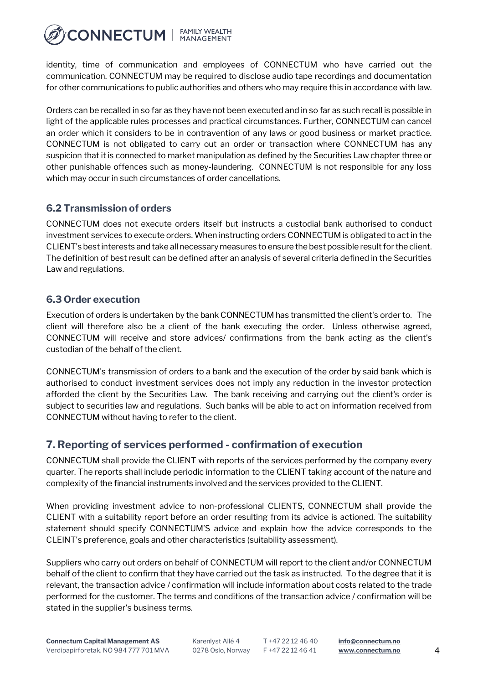

identity, time of communication and employees of CONNECTUM who have carried out the communication. CONNECTUM may be required to disclose audio tape recordings and documentation for other communications to public authorities and others who may require this in accordance with law.

Orders can be recalled in so far as they have not been executed and in so far as such recall is possible in light of the applicable rules processes and practical circumstances. Further, CONNECTUM can cancel an order which it considers to be in contravention of any laws or good business or market practice. CONNECTUM is not obligated to carry out an order or transaction where CONNECTUM has any suspicion that it is connected to market manipulation as defined by the Securities Law chapter three or other punishable offences such as money-laundering. CONNECTUM is not responsible for any loss which may occur in such circumstances of order cancellations.

#### **6.2 Transmission of orders**

CONNECTUM does not execute orders itself but instructs a custodial bank authorised to conduct investment services to execute orders. When instructing orders CONNECTUM is obligated to act in the CLIENT's best interests and take all necessary measures to ensure the best possible result for the client. The definition of best result can be defined after an analysis of several criteria defined in the Securities Law and regulations.

#### **6.3 Order execution**

Execution of orders is undertaken by the bank CONNECTUM has transmitted the client's order to. The client will therefore also be a client of the bank executing the order. Unless otherwise agreed, CONNECTUM will receive and store advices/ confirmations from the bank acting as the client's custodian of the behalf of the client.

CONNECTUM's transmission of orders to a bank and the execution of the order by said bank which is authorised to conduct investment services does not imply any reduction in the investor protection afforded the client by the Securities Law. The bank receiving and carrying out the client's order is subject to securities law and regulations. Such banks will be able to act on information received from CONNECTUM without having to refer to the client.

### **7. Reporting of services performed - confirmation of execution**

CONNECTUM shall provide the CLIENT with reports of the services performed by the company every quarter. The reports shall include periodic information to the CLIENT taking account of the nature and complexity of the financial instruments involved and the services provided to the CLIENT.

When providing investment advice to non-professional CLIENTS, CONNECTUM shall provide the CLIENT with a suitability report before an order resulting from its advice is actioned. The suitability statement should specify CONNECTUM'S advice and explain how the advice corresponds to the CLEINT's preference, goals and other characteristics (suitability assessment).

Suppliers who carry out orders on behalf of CONNECTUM will report to the client and/or CONNECTUM behalf of the client to confirm that they have carried out the task as instructed. To the degree that it is relevant, the transaction advice / confirmation will include information about costs related to the trade performed for the customer. The terms and conditions of the transaction advice / confirmation will be stated in the supplier's business terms.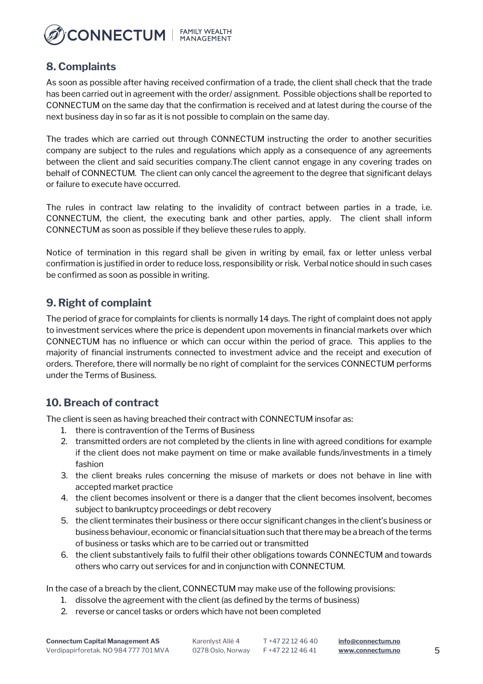

### **8. Complaints**

As soon as possible after having received confirmation of a trade, the client shall check that the trade has been carried out in agreement with the order/ assignment. Possible objections shall be reported to CONNECTUM on the same day that the confirmation is received and at latest during the course of the next business day in so far as it is not possible to complain on the same day.

The trades which are carried out through CONNECTUM instructing the order to another securities company are subject to the rules and regulations which apply as a consequence of any agreements between the client and said securities company.The client cannot engage in any covering trades on behalf of CONNECTUM. The client can only cancel the agreement to the degree that significant delays or failure to execute have occurred.

The rules in contract law relating to the invalidity of contract between parties in a trade, i.e. CONNECTUM, the client, the executing bank and other parties, apply. The client shall inform CONNECTUM as soon as possible if they believe these rules to apply.

Notice of termination in this regard shall be given in writing by email, fax or letter unless verbal confirmation is justified in order to reduce loss, responsibility or risk. Verbal notice should in such cases be confirmed as soon as possible in writing.

## **9. Right of complaint**

The period of grace for complaints for clients is normally 14 days. The right of complaint does not apply to investment services where the price is dependent upon movements in financial markets over which CONNECTUM has no influence or which can occur within the period of grace. This applies to the majority of financial instruments connected to investment advice and the receipt and execution of orders. Therefore, there will normally be no right of complaint for the services CONNECTUM performs under the Terms of Business.

### **10. Breach of contract**

The client is seen as having breached their contract with CONNECTUM insofar as:

- 1. there is contravention of the Terms of Business
- 2. transmitted orders are not completed by the clients in line with agreed conditions for example if the client does not make payment on time or make available funds/investments in a timely fashion
- 3. the client breaks rules concerning the misuse of markets or does not behave in line with accepted market practice
- 4. the client becomes insolvent or there is a danger that the client becomes insolvent, becomes subject to bankruptcy proceedings or debt recovery
- 5. the client terminates their business or there occur significant changes in the client's business or business behaviour, economic or financial situation such that there may be a breach of the terms of business or tasks which are to be carried out or transmitted
- 6. the client substantively fails to fulfil their other obligations towards CONNECTUM and towards others who carry out services for and in conjunction with CONNECTUM.

In the case of a breach by the client, CONNECTUM may make use of the following provisions:

- 1. dissolve the agreement with the client (as defined by the terms of business)
- 2. reverse or cancel tasks or orders which have not been completed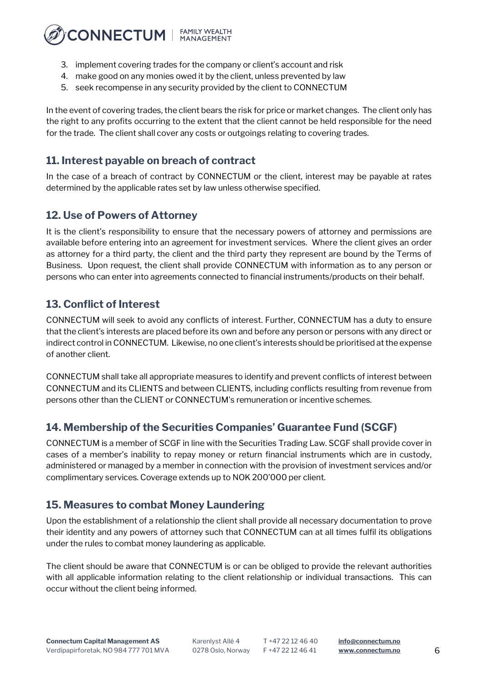

- 3. implement covering trades for the company or client's account and risk
- 4. make good on any monies owed it by the client, unless prevented by law
- 5. seek recompense in any security provided by the client to CONNECTUM

In the event of covering trades, the client bears the risk for price or market changes. The client only has the right to any profits occurring to the extent that the client cannot be held responsible for the need for the trade. The client shall cover any costs or outgoings relating to covering trades.

## **11. Interest payable on breach of contract**

In the case of a breach of contract by CONNECTUM or the client, interest may be payable at rates determined by the applicable rates set by law unless otherwise specified.

### **12. Use of Powers of Attorney**

It is the client's responsibility to ensure that the necessary powers of attorney and permissions are available before entering into an agreement for investment services. Where the client gives an order as attorney for a third party, the client and the third party they represent are bound by the Terms of Business. Upon request, the client shall provide CONNECTUM with information as to any person or persons who can enter into agreements connected to financial instruments/products on their behalf.

### **13. Conflict of Interest**

CONNECTUM will seek to avoid any conflicts of interest. Further, CONNECTUM has a duty to ensure that the client's interests are placed before its own and before any person or persons with any direct or indirect control in CONNECTUM. Likewise, no one client's interests should be prioritised at the expense of another client.

CONNECTUM shall take all appropriate measures to identify and prevent conflicts of interest between CONNECTUM and its CLIENTS and between CLIENTS, including conflicts resulting from revenue from persons other than the CLIENT or CONNECTUM's remuneration or incentive schemes.

### **14. Membership of the Securities Companies' Guarantee Fund (SCGF)**

CONNECTUM is a member of SCGF in line with the Securities Trading Law. SCGF shall provide cover in cases of a member's inability to repay money or return financial instruments which are in custody, administered or managed by a member in connection with the provision of investment services and/or complimentary services. Coverage extends up to NOK 200'000 per client.

### **15. Measures to combat Money Laundering**

Upon the establishment of a relationship the client shall provide all necessary documentation to prove their identity and any powers of attorney such that CONNECTUM can at all times fulfil its obligations under the rules to combat money laundering as applicable.

The client should be aware that CONNECTUM is or can be obliged to provide the relevant authorities with all applicable information relating to the client relationship or individual transactions. This can occur without the client being informed.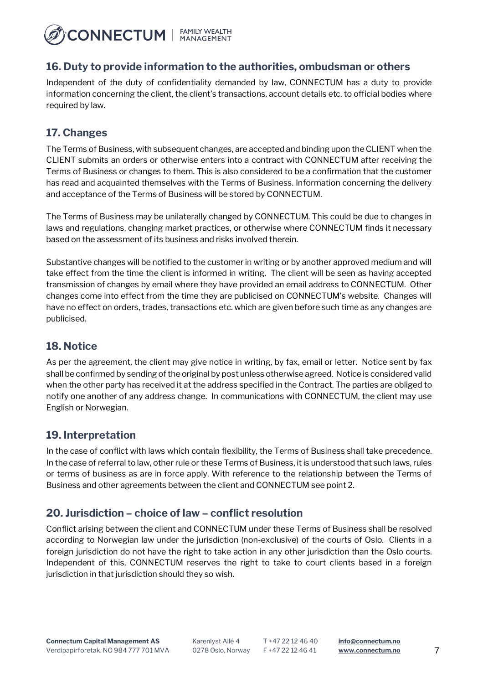

#### **16. Duty to provide information to the authorities, ombudsman or others**

Independent of the duty of confidentiality demanded by law, CONNECTUM has a duty to provide information concerning the client, the client's transactions, account details etc. to official bodies where required by law.

### **17. Changes**

The Terms of Business, with subsequent changes, are accepted and binding upon the CLIENT when the CLIENT submits an orders or otherwise enters into a contract with CONNECTUM after receiving the Terms of Business or changes to them. This is also considered to be a confirmation that the customer has read and acquainted themselves with the Terms of Business. Information concerning the delivery and acceptance of the Terms of Business will be stored by CONNECTUM.

The Terms of Business may be unilaterally changed by CONNECTUM. This could be due to changes in laws and regulations, changing market practices, or otherwise where CONNECTUM finds it necessary based on the assessment of its business and risks involved therein.

Substantive changes will be notified to the customer in writing or by another approved medium and will take effect from the time the client is informed in writing. The client will be seen as having accepted transmission of changes by email where they have provided an email address to CONNECTUM. Other changes come into effect from the time they are publicised on CONNECTUM's website. Changes will have no effect on orders, trades, transactions etc. which are given before such time as any changes are publicised.

### **18. Notice**

As per the agreement, the client may give notice in writing, by fax, email or letter. Notice sent by fax shall be confirmed by sending of the original by post unless otherwise agreed. Notice is considered valid when the other party has received it at the address specified in the Contract. The parties are obliged to notify one another of any address change. In communications with CONNECTUM, the client may use English or Norwegian.

### **19. Interpretation**

In the case of conflict with laws which contain flexibility, the Terms of Business shall take precedence. In the case of referral to law, other rule or these Terms of Business, it is understood that such laws, rules or terms of business as are in force apply. With reference to the relationship between the Terms of Business and other agreements between the client and CONNECTUM see point 2.

#### **20. Jurisdiction – choice of law – conflict resolution**

Conflict arising between the client and CONNECTUM under these Terms of Business shall be resolved according to Norwegian law under the jurisdiction (non-exclusive) of the courts of Oslo. Clients in a foreign jurisdiction do not have the right to take action in any other jurisdiction than the Oslo courts. Independent of this, CONNECTUM reserves the right to take to court clients based in a foreign jurisdiction in that jurisdiction should they so wish.